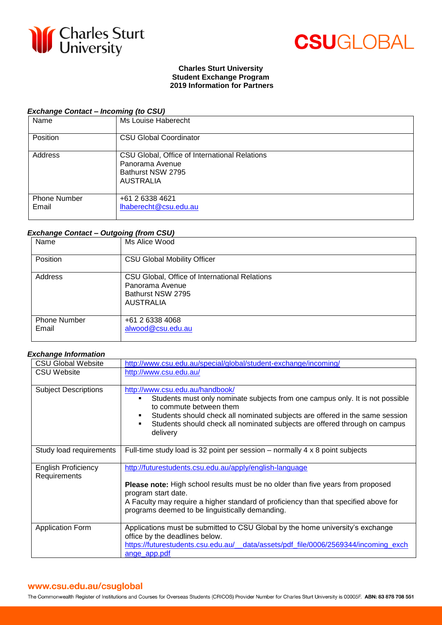



### **Charles Sturt University Student Exchange Program 2019 Information for Partners**

# *Exchange Contact – Incoming (to CSU)*

| Name                         | Ms Louise Haberecht                                                                                       |
|------------------------------|-----------------------------------------------------------------------------------------------------------|
| Position                     | <b>CSU Global Coordinator</b>                                                                             |
| Address                      | CSU Global, Office of International Relations<br>Panorama Avenue<br>Bathurst NSW 2795<br><b>AUSTRALIA</b> |
| <b>Phone Number</b><br>Email | +61 2 6338 4621<br>lhaberecht@csu.edu.au                                                                  |

## *Exchange Contact – Outgoing (from CSU)*

| Name                         | Ms Alice Wood                                                                                             |
|------------------------------|-----------------------------------------------------------------------------------------------------------|
| Position                     | <b>CSU Global Mobility Officer</b>                                                                        |
| Address                      | CSU Global, Office of International Relations<br>Panorama Avenue<br>Bathurst NSW 2795<br><b>AUSTRALIA</b> |
| <b>Phone Number</b><br>Email | +61 2 6338 4068<br>alwood@csu.edu.au                                                                      |

#### *Exchange Information*

| <b>CSU Global Website</b>                  | http://www.csu.edu.au/special/global/student-exchange/incoming/                                                                                                                                                                                                                                                                      |
|--------------------------------------------|--------------------------------------------------------------------------------------------------------------------------------------------------------------------------------------------------------------------------------------------------------------------------------------------------------------------------------------|
| <b>CSU Website</b>                         | http://www.csu.edu.au/                                                                                                                                                                                                                                                                                                               |
| <b>Subject Descriptions</b>                | http://www.csu.edu.au/handbook/<br>Students must only nominate subjects from one campus only. It is not possible<br>٠<br>to commute between them<br>Students should check all nominated subjects are offered in the same session<br>٠<br>Students should check all nominated subjects are offered through on campus<br>٠<br>delivery |
| Study load requirements                    | Full-time study load is 32 point per session $-$ normally 4 x 8 point subjects                                                                                                                                                                                                                                                       |
| <b>English Proficiency</b><br>Requirements | http://futurestudents.csu.edu.au/apply/english-language<br><b>Please note:</b> High school results must be no older than five years from proposed<br>program start date.<br>A Faculty may require a higher standard of proficiency than that specified above for<br>programs deemed to be linguistically demanding.                  |
| <b>Application Form</b>                    | Applications must be submitted to CSU Global by the home university's exchange<br>office by the deadlines below.<br>https://futurestudents.csu.edu.au/_data/assets/pdf_file/0006/2569344/incoming_exch<br>ange_app.pdf                                                                                                               |

# www.csu.edu.au/csuglobal

The Commonwealth Register of Institutions and Courses for Overseas Students (CRICOS) Provider Number for Charles Sturt University is 00005F. ABN: 83 878 708 551